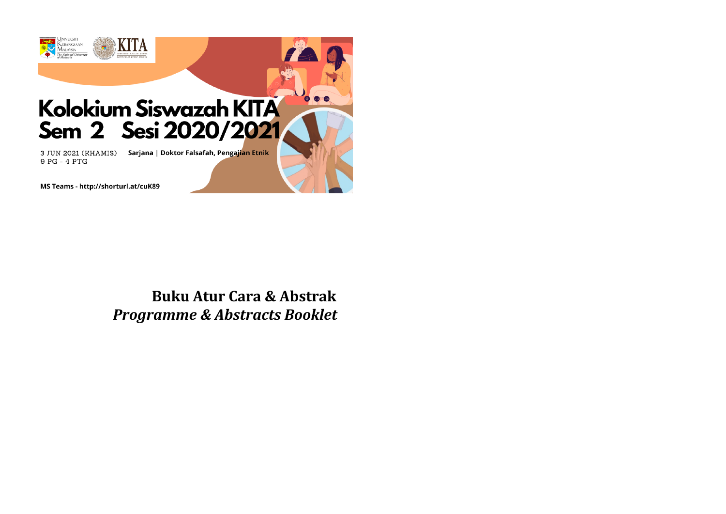

MS Teams - http://shorturl.at/cuK89

# **Buku Atur Cara & Abstrak** *Programme & Abstracts Booklet*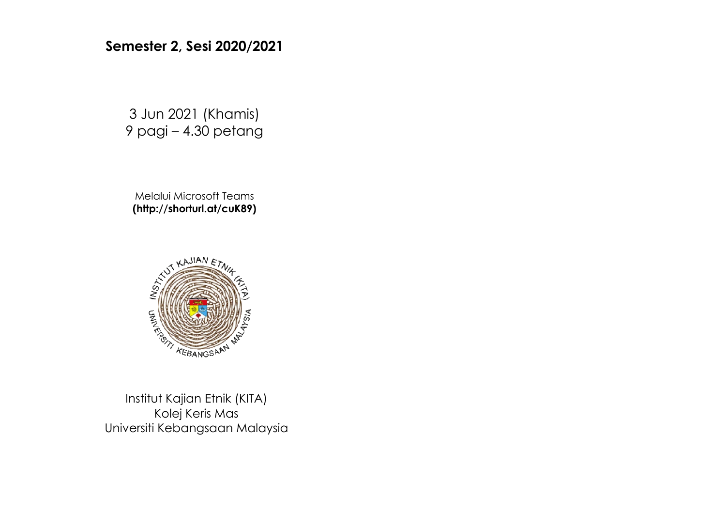## **Semester 2, Sesi 2020/2021**

3 Jun 2021 (Khamis) 9 pagi – 4.30 petang

Melalui Microsoft Teams **(http://shorturl.at/cuK89)**



Institut Kajian Etnik (KITA) Kolej Keris Mas Universiti Kebangsaan Malaysia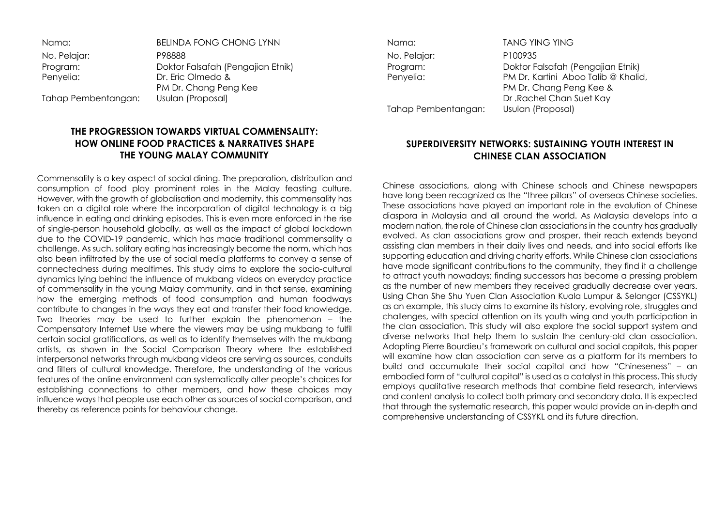| <b>BELINDA FONG CHONG LYNN</b>    |
|-----------------------------------|
| P98888                            |
| Doktor Falsafah (Pengajian Etnik) |
| Dr. Eric Olmedo &                 |
| PM Dr. Chang Peng Kee             |
| Usulan (Proposal)                 |
|                                   |

## **THE PROGRESSION TOWARDS VIRTUAL COMMENSALITY: HOW ONLINE FOOD PRACTICES & NARRATIVES SHAPE THE YOUNG MALAY COMMUNITY**

Commensality is a key aspect of social dining. The preparation, distribution and consumption of food play prominent roles in the Malay feasting culture. However, with the growth of globalisation and modernity, this commensality has taken on a digital role where the incorporation of digital technology is a big influence in eating and drinking episodes. This is even more enforced in the rise of single-person household globally, as well as the impact of global lockdown due to the COVID-19 pandemic, which has made traditional commensality a challenge. As such, solitary eating has increasingly become the norm, which has also been infiltrated by the use of social media platforms to convey a sense of connectedness during mealtimes. This study aims to explore the socio-cultural dynamics lying behind the influence of mukbang videos on everyday practice of commensality in the young Malay community, and in that sense, examining how the emerging methods of food consumption and human foodways contribute to changes in the ways they eat and transfer their food knowledge. Two theories may be used to further explain the phenomenon – the Compensatory Internet Use where the viewers may be using mukbang to fulfil certain social gratifications, as well as to identify themselves with the mukbang artists, as shown in the Social Comparison Theory where the established interpersonal networks through mukbang videos are serving as sources, conduits and filters of cultural knowledge. Therefore, the understanding of the various features of the online environment can systematically alter people's choices for establishing connections to other members, and how these choices may influence ways that people use each other as sources of social comparison, and thereby as reference points for behaviour change.

No. Pelajar: P100935

Nama: TANG YING YING Program: Doktor Falsafah (Pengajian Etnik)<br>Penyelia: PM Dr. Kartini Aboo Talib @ Khalia PM Dr. Kartini Aboo Talib @ Khalid, PM Dr. Chang Peng Kee & Dr .Rachel Chan Suet Kay Tahap Pembentangan: Usulan (Proposal)

## **SUPERDIVERSITY NETWORKS: SUSTAINING YOUTH INTEREST IN CHINESE CLAN ASSOCIATION**

Chinese associations, along with Chinese schools and Chinese newspapers have long been recognized as the "three pillars" of overseas Chinese societies. These associations have played an important role in the evolution of Chinese diaspora in Malaysia and all around the world. As Malaysia develops into a modern nation, the role of Chinese clan associations in the country has gradually evolved. As clan associations grow and prosper, their reach extends beyond assisting clan members in their daily lives and needs, and into social efforts like supporting education and driving charity efforts. While Chinese clan associations have made significant contributions to the community, they find it a challenge to attract youth nowadays; finding successors has become a pressing problem as the number of new members they received gradually decrease over years. Using Chan She Shu Yuen Clan Association Kuala Lumpur & Selangor (CSSYKL) as an example, this study aims to examine its history, evolving role, struggles and challenges, with special attention on its youth wing and youth participation in the clan association. This study will also explore the social support system and diverse networks that help them to sustain the century-old clan association. Adopting Pierre Bourdieu's framework on cultural and social capitals, this paper will examine how clan association can serve as a platform for its members to build and accumulate their social capital and how "Chineseness" – an embodied form of "cultural capital" is used as a catalyst in this process. This study employs qualitative research methods that combine field research, interviews and content analysis to collect both primary and secondary data. It is expected that through the systematic research, this paper would provide an in-depth and comprehensive understanding of CSSYKL and its future direction.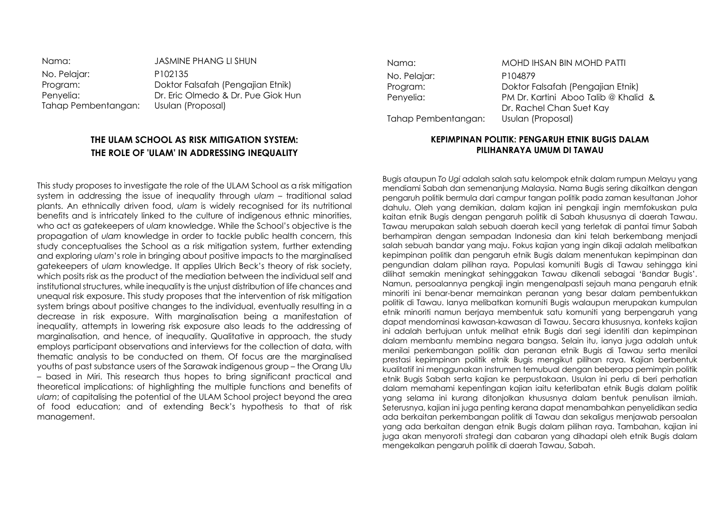| Nama:               | <b>JASMINE PHANG LI SHUN</b>       |
|---------------------|------------------------------------|
| No. Pelajar:        | P <sub>102</sub> 135               |
| Program:            | Doktor Falsafah (Pengajian Etnik)  |
| Penyelia:           | Dr. Eric Olmedo & Dr. Pue Giok Hun |
| Tahap Pembentangan: | Usulan (Proposal)                  |
|                     |                                    |

### **THE ULAM SCHOOL AS RISK MITIGATION SYSTEM: THE ROLE OF 'ULAM' IN ADDRESSING INEQUALITY**

This study proposes to investigate the role of the ULAM School as a risk mitigation system in addressing the issue of inequality through *ulam* – traditional salad plants. An ethnically driven food, *ulam* is widely recognised for its nutritional benefits and is intricately linked to the culture of indigenous ethnic minorities, who act as gatekeepers of *ulam* knowledge. While the School's objective is the propagation of *ulam* knowledge in order to tackle public health concern, this study conceptualises the School as a risk mitigation system, further extending and exploring *ulam*'s role in bringing about positive impacts to the marginalised gatekeepers of *ulam* knowledge. It applies Ulrich Beck's theory of risk society, which posits risk as the product of the mediation between the individual self and institutional structures, while inequality is the unjust distribution of life chances and unequal risk exposure. This study proposes that the intervention of risk mitigation system brings about positive changes to the individual, eventually resulting in a decrease in risk exposure. With marginalisation being a manifestation of inequality, attempts in lowering risk exposure also leads to the addressing of marginalisation, and hence, of inequality. Qualitative in approach, the study employs participant observations and interviews for the collection of data, with thematic analysis to be conducted on them. Of focus are the marginalised youths of past substance users of the Sarawak indigenous group – the Orang Ulu – based in Miri. This research thus hopes to bring significant practical and theoretical implications: of highlighting the multiple functions and benefits of *ulam*; of capitalising the potential of the ULAM School project beyond the area of food education; and of extending Beck's hypothesis to that of risk management.

No. Pelajar: P104879 Tahap Pembentangan: Usulan (Proposal)

Nama: MOHD IHSAN BIN MOHD PATTI Program: Doktor Falsafah (Pengajian Etnik)<br>Penyelia: PM Dr. Kartini Aboo Talib @ Khalia PM Dr. Kartini, Aboo Talib @ Khalid & Dr. Rachel Chan Suet Kay

#### **KEPIMPINAN POLITIK: PENGARUH ETNIK BUGIS DALAM PILIHANRAYA UMUM DI TAWAU**

Bugis ataupun *To Ugi* adalah salah satu kelompok etnik dalam rumpun Melayu yang mendiami Sabah dan semenanjung Malaysia. Nama Bugis sering dikaitkan dengan pengaruh politik bermula dari campur tangan politik pada zaman kesultanan Johor dahulu. Oleh yang demikian, dalam kajian ini pengkaji ingin memfokuskan pula kaitan etnik Bugis dengan pengaruh politik di Sabah khususnya di daerah Tawau. Tawau merupakan salah sebuah daerah kecil yang terletak di pantai timur Sabah berhampiran dengan sempadan Indonesia dan kini telah berkembang menjadi salah sebuah bandar yang maju. Fokus kajian yang ingin dikaji adalah melibatkan kepimpinan politik dan pengaruh etnik Bugis dalam menentukan kepimpinan dan pengundian dalam pilihan raya. Populasi komuniti Bugis di Tawau sehingga kini dilihat semakin meningkat sehinggakan Tawau dikenali sebagai 'Bandar Bugis'. Namun, persoalannya pengkaji ingin mengenalpasti sejauh mana pengaruh etnik minoriti ini benar-benar memainkan peranan yang besar dalam pembentukkan politik di Tawau. Ianya melibatkan komuniti Bugis walaupun merupakan kumpulan etnik minoriti namun berjaya membentuk satu komuniti yang berpengaruh yang dapat mendominasi kawasan-kawasan di Tawau. Secara khususnya, konteks kajian ini adalah bertujuan untuk melihat etnik Bugis dari segi identiti dan kepimpinan dalam membantu membina negara bangsa. Selain itu, ianya juga adalah untuk menilai perkembangan politik dan peranan etnik Bugis di Tawau serta menilai prestasi kepimpinan politik etnik Bugis mengikut pilihan raya. Kajian berbentuk kualitatif ini menggunakan instrumen temubual dengan beberapa pemimpin politik etnik Bugis Sabah serta kajian ke perpustakaan. Usulan ini perlu di beri perhatian dalam memahami kepentingan kajian iaitu keterlibatan etnik Bugis dalam politik yang selama ini kurang ditonjolkan khususnya dalam bentuk penulisan ilmiah. Seterusnya, kajian ini juga penting kerana dapat menambahkan penyelidikan sedia ada berkaitan perkembangan politik di Tawau dan sekaligus menjawab persoalan yang ada berkaitan dengan etnik Bugis dalam pilihan raya. Tambahan, kajian ini juga akan menyoroti strategi dan cabaran yang dihadapi oleh etnik Bugis dalam mengekalkan pengaruh politik di daerah Tawau, Sabah.